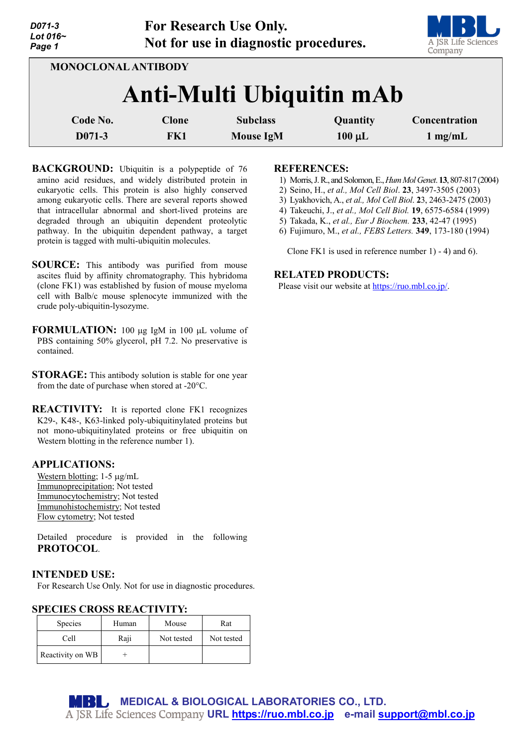| D071-3<br>Lot $016-$<br>Page 1 |                            |              | <b>For Research Use Only.</b><br>Not for use in diagnostic procedures. |             | A JSR Life Sciences<br>Company |
|--------------------------------|----------------------------|--------------|------------------------------------------------------------------------|-------------|--------------------------------|
|                                | <b>MONOCLONAL ANTIBODY</b> |              | <b>Anti-Multi Ubiquitin mAb</b>                                        |             |                                |
|                                |                            |              |                                                                        |             |                                |
|                                | Code No.                   | <b>Clone</b> | <b>Subclass</b>                                                        | Quantity    | Concentration                  |
|                                | D071-3                     | FK1          | <b>Mouse IgM</b>                                                       | $100 \mu L$ | $1 \text{ mg/mL}$              |

**BACKGROUND:** Ubiquitin is a polypeptide of 76 amino acid residues, and widely distributed protein in eukaryotic cells. This protein is also highly conserved among eukaryotic cells. There are several reports showed that intracellular abnormal and short-lived proteins are degraded through an ubiquitin dependent proteolytic pathway. In the ubiquitin dependent pathway, a target protein is tagged with multi-ubiquitin molecules.

- **SOURCE:** This antibody was purified from mouse ascites fluid by affinity chromatography. This hybridoma (clone FK1) was established by fusion of mouse myeloma cell with Balb/c mouse splenocyte immunized with the crude poly-ubiquitin-lysozyme.
- **FORMULATION:** 100 µg IgM in 100 µL volume of PBS containing 50% glycerol, pH 7.2. No preservative is contained.
- **STORAGE:** This antibody solution is stable for one year from the date of purchase when stored at -20°C.
- **REACTIVITY:** It is reported clone FK1 recognizes K29-, K48-, K63-linked poly-ubiquitinylated proteins but not mono-ubiquitinylated proteins or free ubiquitin on Western blotting in the reference number 1).

## **APPLICATIONS:**

Western blotting; 1-5 µg/mL Immunoprecipitation; Not tested Immunocytochemistry; Not tested Immunohistochemistry; Not tested Flow cytometry; Not tested

Detailed procedure is provided in the following **PROTOCOL**.

#### **INTENDED USE:**

For Research Use Only. Not for use in diagnostic procedures.

#### **SPECIES CROSS REACTIVITY:**

| <b>Species</b>   | Human | Mouse      | Rat        |
|------------------|-------|------------|------------|
| Cell             | Raji  | Not tested | Not tested |
| Reactivity on WB |       |            |            |

#### **REFERENCES:**

- 1) Morris,J. R., and Solomon,E.,*HumMolGenet*. **13**, 807-817 (2004)
- 2) Seino, H., *et al., Mol Cell Biol*. **23**, 3497-3505 (2003)
- 3) Lyakhovich, A., *et al., Mol Cell Biol*. **2**3, 2463-2475 (2003)
- 4) Takeuchi, J., *et al., Mol Cell Biol.* **19**, 6575-6584 (1999)
- 5) Takada, K., *et al., Eur J Biochem.* **233**, 42-47 (1995)
- 6) Fujimuro, M., *et al., FEBS Letters.* **349**, 173-180 (1994)

Clone FK1 is used in reference number 1) - 4) and 6).

#### **RELATED PRODUCTS:**

Please visit our website at [https://ruo.mbl.co.jp/.](https://ruo.mbl.co.jp/)